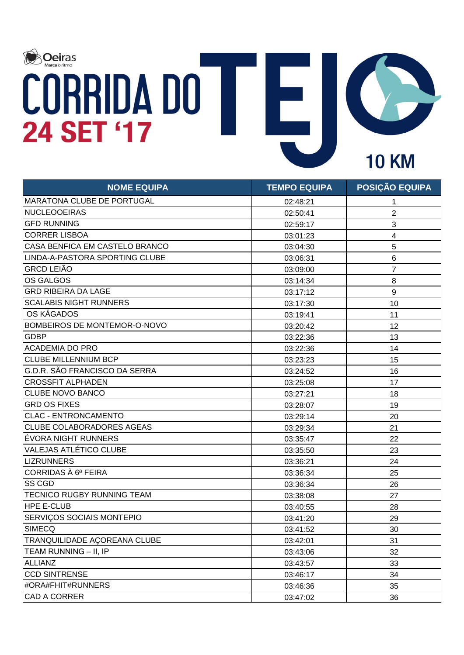

| <b>NOME EQUIPA</b>                  | <b>TEMPO EQUIPA</b> | <b>POSIÇÃO EQUIPA</b>   |
|-------------------------------------|---------------------|-------------------------|
| <b>MARATONA CLUBE DE PORTUGAL</b>   | 02:48:21            | 1                       |
| <b>NUCLEOOEIRAS</b>                 | 02:50:41            | $\overline{2}$          |
| <b>GFD RUNNING</b>                  | 02:59:17            | 3                       |
| <b>CORRER LISBOA</b>                | 03:01:23            | $\overline{\mathbf{4}}$ |
| CASA BENFICA EM CASTELO BRANCO      | 03:04:30            | 5                       |
| LINDA-A-PASTORA SPORTING CLUBE      | 03:06:31            | 6                       |
| <b>GRCD LEIÃO</b>                   | 03:09:00            | $\overline{7}$          |
| <b>OS GALGOS</b>                    | 03:14:34            | 8                       |
| <b>GRD RIBEIRA DA LAGE</b>          | 03:17:12            | $9\,$                   |
| <b>SCALABIS NIGHT RUNNERS</b>       | 03:17:30            | 10                      |
| OS KÁGADOS                          | 03:19:41            | 11                      |
| BOMBEIROS DE MONTEMOR-O-NOVO        | 03:20:42            | 12                      |
| <b>GDBP</b>                         | 03:22:36            | 13                      |
| <b>ACADEMIA DO PRO</b>              | 03:22:36            | 14                      |
| <b>CLUBE MILLENNIUM BCP</b>         | 03:23:23            | 15                      |
| G.D.R. SÃO FRANCISCO DA SERRA       | 03:24:52            | 16                      |
| <b>CROSSFIT ALPHADEN</b>            | 03:25:08            | 17                      |
| CLUBE NOVO BANCO                    | 03:27:21            | 18                      |
| <b>GRD OS FIXES</b>                 | 03:28:07            | 19                      |
| <b>CLAC - ENTRONCAMENTO</b>         | 03:29:14            | 20                      |
| <b>CLUBE COLABORADORES AGEAS</b>    | 03:29:34            | 21                      |
| ÉVORA NIGHT RUNNERS                 | 03:35:47            | 22                      |
| VALEJAS ATLÉTICO CLUBE              | 03:35:50            | 23                      |
| <b>LIZRUNNERS</b>                   | 03:36:21            | 24                      |
| CORRIDAS À 6ª FEIRA                 | 03:36:34            | 25                      |
| <b>SS CGD</b>                       | 03:36:34            | 26                      |
| <b>TECNICO RUGBY RUNNING TEAM</b>   | 03:38:08            | 27                      |
| <b>HPE E-CLUB</b>                   | 03:40:55            | 28                      |
| SERVIÇOS SOCIAIS MONTEPIO           | 03:41:20            | 29                      |
| SIMECQ                              | 03:41:52            | 30                      |
| <b>TRANQUILIDADE AÇOREANA CLUBE</b> | 03:42:01            | 31                      |
| TEAM RUNNING - II, IP               | 03:43:06            | 32                      |
| <b>ALLIANZ</b>                      | 03:43:57            | 33                      |
| <b>CCD SINTRENSE</b>                | 03:46:17            | 34                      |
| #ORA#FHIT#RUNNERS                   | 03:46:36            | 35                      |
| <b>CAD A CORRER</b>                 | 03:47:02            | 36                      |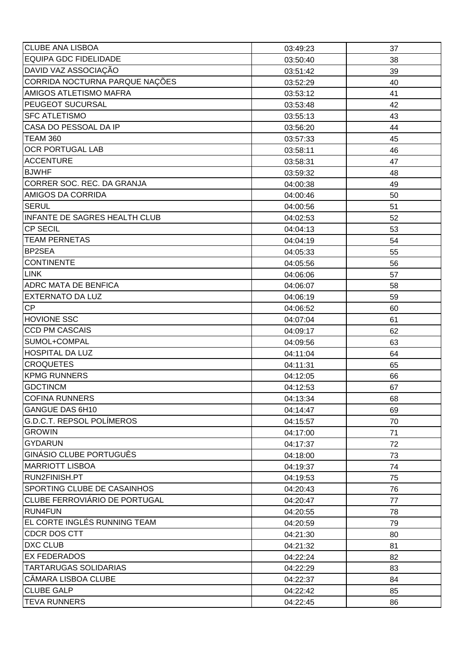| <b>CLUBE ANA LISBOA</b>                  | 03:49:23 | 37 |
|------------------------------------------|----------|----|
| <b>EQUIPA GDC FIDELIDADE</b>             | 03:50:40 | 38 |
| DAVID VAZ ASSOCIAÇÃO                     | 03:51:42 | 39 |
| CORRIDA NOCTURNA PARQUE NAÇÕES           | 03:52:29 | 40 |
| AMIGOS ATLETISMO MAFRA                   | 03:53:12 | 41 |
| PEUGEOT SUCURSAL                         | 03:53:48 | 42 |
| <b>SFC ATLETISMO</b>                     | 03:55:13 | 43 |
| CASA DO PESSOAL DA IP                    | 03:56:20 | 44 |
| <b>TEAM 360</b>                          | 03:57:33 | 45 |
| OCR PORTUGAL LAB                         | 03:58:11 | 46 |
| <b>ACCENTURE</b>                         | 03:58:31 | 47 |
| <b>BJWHF</b>                             | 03:59:32 | 48 |
| CORRER SOC. REC. DA GRANJA               | 04:00:38 | 49 |
| AMIGOS DA CORRIDA                        | 04:00:46 | 50 |
| <b>SERUL</b>                             | 04:00:56 | 51 |
| <b>INFANTE DE SAGRES HEALTH CLUB</b>     | 04:02:53 | 52 |
| <b>CP SECIL</b>                          | 04:04:13 | 53 |
| <b>TEAM PERNETAS</b>                     | 04:04:19 | 54 |
| BP2SEA                                   | 04:05:33 | 55 |
| <b>CONTINENTE</b>                        | 04:05:56 | 56 |
| <b>LINK</b>                              | 04:06:06 | 57 |
| ADRC MATA DE BENFICA                     | 04:06:07 | 58 |
| <b>EXTERNATO DA LUZ</b>                  | 04:06:19 | 59 |
| CP                                       | 04:06:52 | 60 |
| <b>HOVIONE SSC</b>                       | 04:07:04 | 61 |
| <b>CCD PM CASCAIS</b>                    |          | 62 |
|                                          | 04:09:17 |    |
| SUMOL+COMPAL                             | 04:09:56 | 63 |
| <b>HOSPITAL DA LUZ</b>                   | 04:11:04 | 64 |
| <b>CROQUETES</b>                         | 04:11:31 | 65 |
| <b>KPMG RUNNERS</b>                      | 04:12:05 | 66 |
| <b>GDCTINCM</b>                          | 04:12:53 | 67 |
| <b>COFINA RUNNERS</b>                    | 04:13:34 | 68 |
| GANGUE DAS 6H10                          | 04:14:47 | 69 |
| <b>G.D.C.T. REPSOL POLÍMEROS</b>         | 04:15:57 | 70 |
| <b>GROWIN</b>                            | 04:17:00 | 71 |
| <b>GYDARUN</b>                           | 04:17:37 | 72 |
| GINÁSIO CLUBE PORTUGUÊS                  | 04:18:00 | 73 |
| <b>MARRIOTT LISBOA</b>                   | 04:19:37 | 74 |
| RUN2FINISH.PT                            | 04:19:53 | 75 |
| SPORTING CLUBE DE CASAINHOS              | 04:20:43 | 76 |
| CLUBE FERROVIÁRIO DE PORTUGAL            | 04:20:47 | 77 |
| <b>RUN4FUN</b>                           | 04:20:55 | 78 |
| EL CORTE INGLÉS RUNNING TEAM             | 04:20:59 | 79 |
| CDCR DOS CTT                             | 04:21:30 | 80 |
| DXC CLUB                                 | 04:21:32 | 81 |
| <b>EX FEDERADOS</b>                      | 04:22:24 | 82 |
| <b>TARTARUGAS SOLIDARIAS</b>             | 04:22:29 | 83 |
| CÂMARA LISBOA CLUBE                      | 04:22:37 | 84 |
| <b>CLUBE GALP</b><br><b>TEVA RUNNERS</b> | 04:22:42 | 85 |